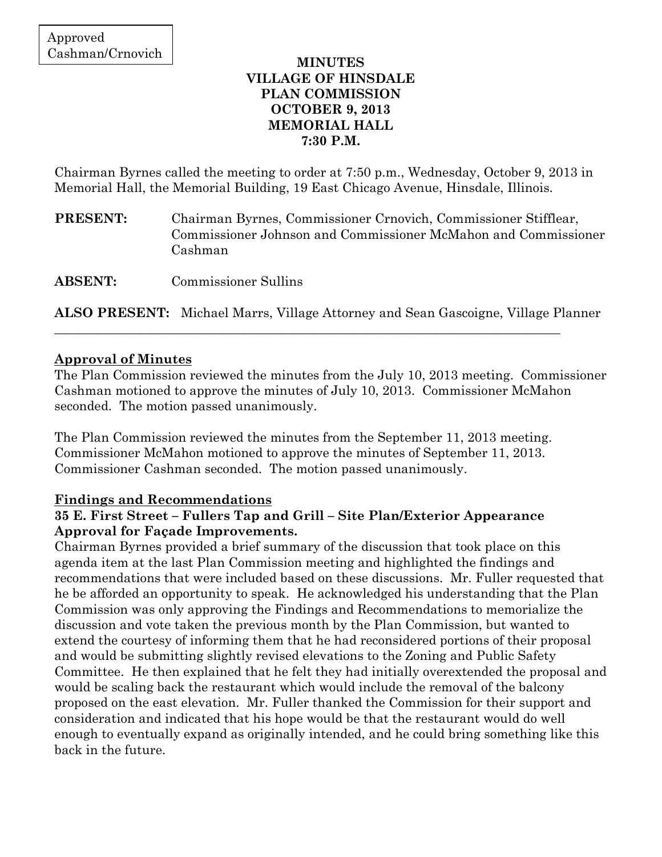### **MINUTES VILLAGE OF HINSDALE PLAN COMMISSION OCTOBER 9, 2013 MEMORIAL HALL 7:30 P.M.**

Chairman Byrnes called the meeting to order at 7:50 p.m., Wednesday, October 9, 2013 in Memorial Hall, the Memorial Building, 19 East Chicago Avenue, Hinsdale, Illinois.

**PRESENT:** Chairman Byrnes, Commissioner Crnovich, Commissioner Stifflear, Commissioner Johnson and Commissioner McMahon and Commissioner Cashman

**ABSENT:** Commissioner Sullins

**ALSO PRESENT:** Michael Marrs, Village Attorney and Sean Gascoigne, Village Planner

\_\_\_\_\_\_\_\_\_\_\_\_\_\_\_\_\_\_\_\_\_\_\_\_\_\_\_\_\_\_\_\_\_\_\_\_\_\_\_\_\_\_\_\_\_\_\_\_\_\_\_\_\_\_\_\_\_\_\_\_\_\_\_\_\_\_\_\_\_\_\_\_\_\_\_\_\_\_

## **Approval of Minutes**

The Plan Commission reviewed the minutes from the July 10, 2013 meeting. Commissioner Cashman motioned to approve the minutes of July 10, 2013. Commissioner McMahon seconded. The motion passed unanimously.

The Plan Commission reviewed the minutes from the September 11, 2013 meeting. Commissioner McMahon motioned to approve the minutes of September 11, 2013. Commissioner Cashman seconded. The motion passed unanimously.

## **Findings and Recommendations**

### **35 E. First Street – Fullers Tap and Grill – Site Plan/Exterior Appearance Approval for Façade Improvements.**

Chairman Byrnes provided a brief summary of the discussion that took place on this agenda item at the last Plan Commission meeting and highlighted the findings and recommendations that were included based on these discussions. Mr. Fuller requested that he be afforded an opportunity to speak. He acknowledged his understanding that the Plan Commission was only approving the Findings and Recommendations to memorialize the discussion and vote taken the previous month by the Plan Commission, but wanted to extend the courtesy of informing them that he had reconsidered portions of their proposal and would be submitting slightly revised elevations to the Zoning and Public Safety Committee. He then explained that he felt they had initially overextended the proposal and would be scaling back the restaurant which would include the removal of the balcony proposed on the east elevation. Mr. Fuller thanked the Commission for their support and consideration and indicated that his hope would be that the restaurant would do well enough to eventually expand as originally intended, and he could bring something like this back in the future.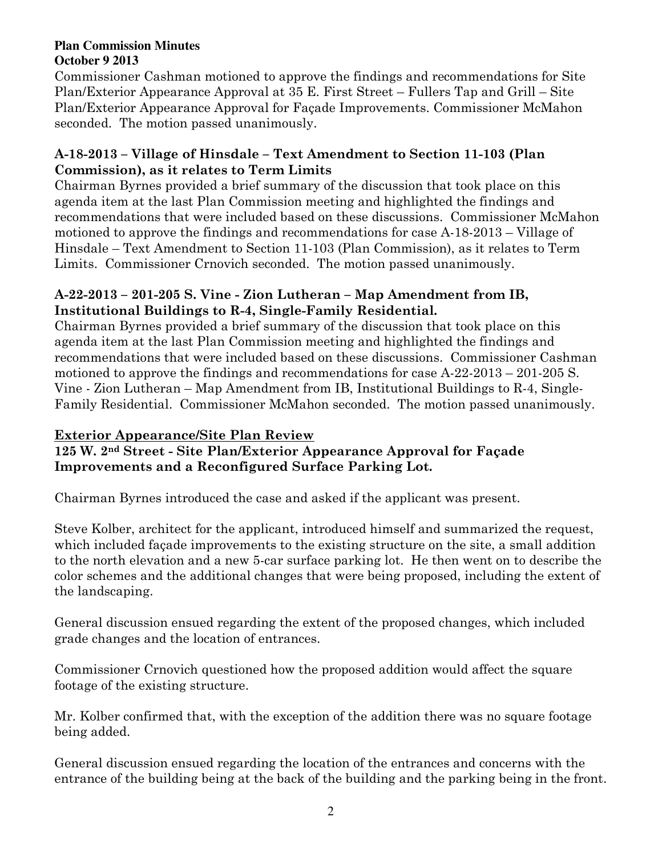Commissioner Cashman motioned to approve the findings and recommendations for Site Plan/Exterior Appearance Approval at 35 E. First Street – Fullers Tap and Grill – Site Plan/Exterior Appearance Approval for Façade Improvements. Commissioner McMahon seconded. The motion passed unanimously.

## **A-18-2013 – Village of Hinsdale – Text Amendment to Section 11-103 (Plan Commission), as it relates to Term Limits**

Chairman Byrnes provided a brief summary of the discussion that took place on this agenda item at the last Plan Commission meeting and highlighted the findings and recommendations that were included based on these discussions. Commissioner McMahon motioned to approve the findings and recommendations for case A-18-2013 – Village of Hinsdale – Text Amendment to Section 11-103 (Plan Commission), as it relates to Term Limits.Commissioner Crnovich seconded. The motion passed unanimously.

## **A-22-2013 – 201-205 S. Vine - Zion Lutheran – Map Amendment from IB, Institutional Buildings to R-4, Single-Family Residential.**

Chairman Byrnes provided a brief summary of the discussion that took place on this agenda item at the last Plan Commission meeting and highlighted the findings and recommendations that were included based on these discussions. Commissioner Cashman motioned to approve the findings and recommendations for case A-22-2013 – 201-205 S. Vine - Zion Lutheran – Map Amendment from IB, Institutional Buildings to R-4, Single-Family Residential. Commissioner McMahon seconded. The motion passed unanimously.

# **Exterior Appearance/Site Plan Review**

## **125 W. 2nd Street - Site Plan/Exterior Appearance Approval for Façade Improvements and a Reconfigured Surface Parking Lot.**

Chairman Byrnes introduced the case and asked if the applicant was present.

Steve Kolber, architect for the applicant, introduced himself and summarized the request, which included façade improvements to the existing structure on the site, a small addition to the north elevation and a new 5-car surface parking lot. He then went on to describe the color schemes and the additional changes that were being proposed, including the extent of the landscaping.

General discussion ensued regarding the extent of the proposed changes, which included grade changes and the location of entrances.

Commissioner Crnovich questioned how the proposed addition would affect the square footage of the existing structure.

Mr. Kolber confirmed that, with the exception of the addition there was no square footage being added.

General discussion ensued regarding the location of the entrances and concerns with the entrance of the building being at the back of the building and the parking being in the front.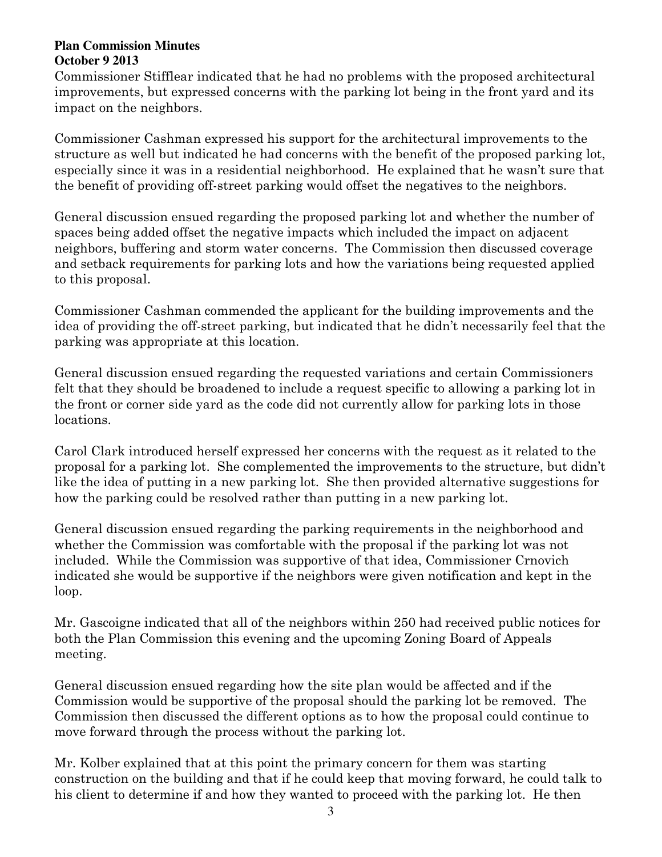Commissioner Stifflear indicated that he had no problems with the proposed architectural improvements, but expressed concerns with the parking lot being in the front yard and its impact on the neighbors.

Commissioner Cashman expressed his support for the architectural improvements to the structure as well but indicated he had concerns with the benefit of the proposed parking lot, especially since it was in a residential neighborhood. He explained that he wasn't sure that the benefit of providing off-street parking would offset the negatives to the neighbors.

General discussion ensued regarding the proposed parking lot and whether the number of spaces being added offset the negative impacts which included the impact on adjacent neighbors, buffering and storm water concerns. The Commission then discussed coverage and setback requirements for parking lots and how the variations being requested applied to this proposal.

Commissioner Cashman commended the applicant for the building improvements and the idea of providing the off-street parking, but indicated that he didn't necessarily feel that the parking was appropriate at this location.

General discussion ensued regarding the requested variations and certain Commissioners felt that they should be broadened to include a request specific to allowing a parking lot in the front or corner side yard as the code did not currently allow for parking lots in those locations.

Carol Clark introduced herself expressed her concerns with the request as it related to the proposal for a parking lot. She complemented the improvements to the structure, but didn't like the idea of putting in a new parking lot. She then provided alternative suggestions for how the parking could be resolved rather than putting in a new parking lot.

General discussion ensued regarding the parking requirements in the neighborhood and whether the Commission was comfortable with the proposal if the parking lot was not included. While the Commission was supportive of that idea, Commissioner Crnovich indicated she would be supportive if the neighbors were given notification and kept in the loop.

Mr. Gascoigne indicated that all of the neighbors within 250 had received public notices for both the Plan Commission this evening and the upcoming Zoning Board of Appeals meeting.

General discussion ensued regarding how the site plan would be affected and if the Commission would be supportive of the proposal should the parking lot be removed. The Commission then discussed the different options as to how the proposal could continue to move forward through the process without the parking lot.

Mr. Kolber explained that at this point the primary concern for them was starting construction on the building and that if he could keep that moving forward, he could talk to his client to determine if and how they wanted to proceed with the parking lot. He then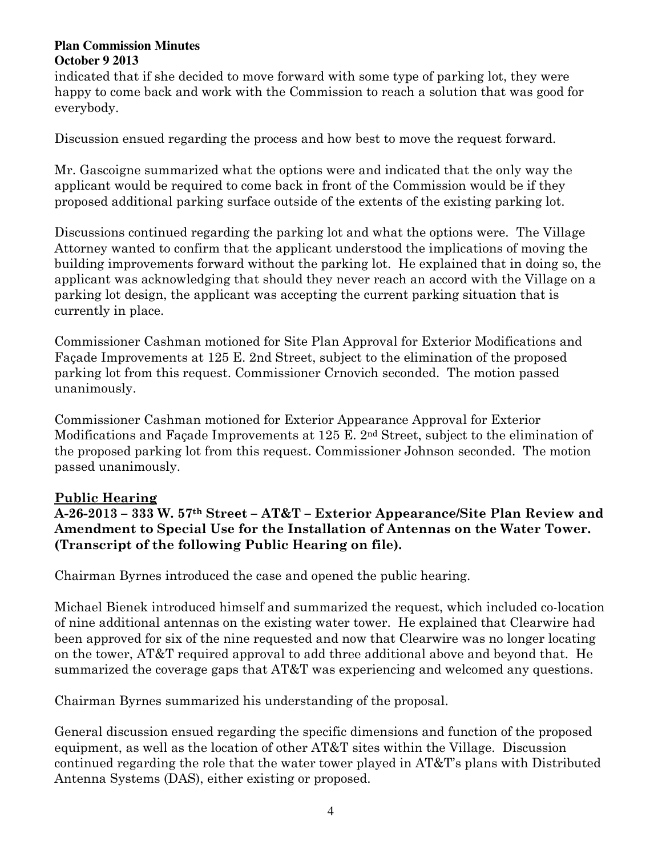indicated that if she decided to move forward with some type of parking lot, they were happy to come back and work with the Commission to reach a solution that was good for everybody.

Discussion ensued regarding the process and how best to move the request forward.

Mr. Gascoigne summarized what the options were and indicated that the only way the applicant would be required to come back in front of the Commission would be if they proposed additional parking surface outside of the extents of the existing parking lot.

Discussions continued regarding the parking lot and what the options were. The Village Attorney wanted to confirm that the applicant understood the implications of moving the building improvements forward without the parking lot. He explained that in doing so, the applicant was acknowledging that should they never reach an accord with the Village on a parking lot design, the applicant was accepting the current parking situation that is currently in place.

Commissioner Cashman motioned for Site Plan Approval for Exterior Modifications and Façade Improvements at 125 E. 2nd Street, subject to the elimination of the proposed parking lot from this request. Commissioner Crnovich seconded. The motion passed unanimously.

Commissioner Cashman motioned for Exterior Appearance Approval for Exterior Modifications and Façade Improvements at 125 E. 2nd Street, subject to the elimination of the proposed parking lot from this request. Commissioner Johnson seconded. The motion passed unanimously.

# **Public Hearing**

**A-26-2013 – 333 W. 57th Street – AT&T – Exterior Appearance/Site Plan Review and Amendment to Special Use for the Installation of Antennas on the Water Tower. (Transcript of the following Public Hearing on file).** 

Chairman Byrnes introduced the case and opened the public hearing.

Michael Bienek introduced himself and summarized the request, which included co-location of nine additional antennas on the existing water tower. He explained that Clearwire had been approved for six of the nine requested and now that Clearwire was no longer locating on the tower, AT&T required approval to add three additional above and beyond that. He summarized the coverage gaps that AT&T was experiencing and welcomed any questions.

Chairman Byrnes summarized his understanding of the proposal.

General discussion ensued regarding the specific dimensions and function of the proposed equipment, as well as the location of other AT&T sites within the Village. Discussion continued regarding the role that the water tower played in AT&T's plans with Distributed Antenna Systems (DAS), either existing or proposed.